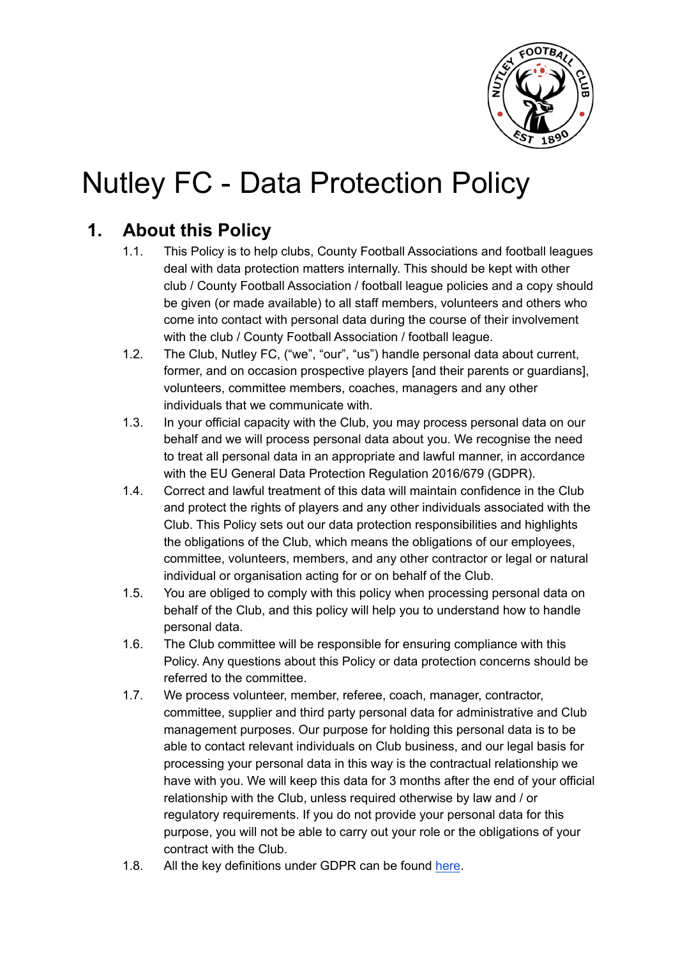

# Nutley FC - Data Protection Policy

# **1. About this Policy**

- 1.1. This Policy is to help clubs, County Football Associations and football leagues deal with data protection matters internally. This should be kept with other club / County Football Association / football league policies and a copy should be given (or made available) to all staff members, volunteers and others who come into contact with personal data during the course of their involvement with the club / County Football Association / football league.
- 1.2. The Club, Nutley FC, ("we", "our", "us") handle personal data about current, former, and on occasion prospective players [and their parents or guardians], volunteers, committee members, coaches, managers and any other individuals that we communicate with.
- 1.3. In your official capacity with the Club, you may process personal data on our behalf and we will process personal data about you. We recognise the need to treat all personal data in an appropriate and lawful manner, in accordance with the EU General Data Protection Regulation 2016/679 (GDPR).
- 1.4. Correct and lawful treatment of this data will maintain confidence in the Club and protect the rights of players and any other individuals associated with the Club. This Policy sets out our data protection responsibilities and highlights the obligations of the Club, which means the obligations of our employees, committee, volunteers, members, and any other contractor or legal or natural individual or organisation acting for or on behalf of the Club.
- 1.5. You are obliged to comply with this policy when processing personal data on behalf of the Club, and this policy will help you to understand how to handle personal data.
- 1.6. The Club committee will be responsible for ensuring compliance with this Policy. Any questions about this Policy or data protection concerns should be referred to the committee.
- 1.7. We process volunteer, member, referee, coach, manager, contractor, committee, supplier and third party personal data for administrative and Club management purposes. Our purpose for holding this personal data is to be able to contact relevant individuals on Club business, and our legal basis for processing your personal data in this way is the contractual relationship we have with you. We will keep this data for 3 months after the end of your official relationship with the Club, unless required otherwise by law and / or regulatory requirements. If you do not provide your personal data for this purpose, you will not be able to carry out your role or the obligations of your contract with the Club.
- 1.8. All the key definitions under GDPR can be found [here.](https://ico.org.uk/for-organisations/guide-to-the-general-data-protection-regulation-gdpr/key-definitions/)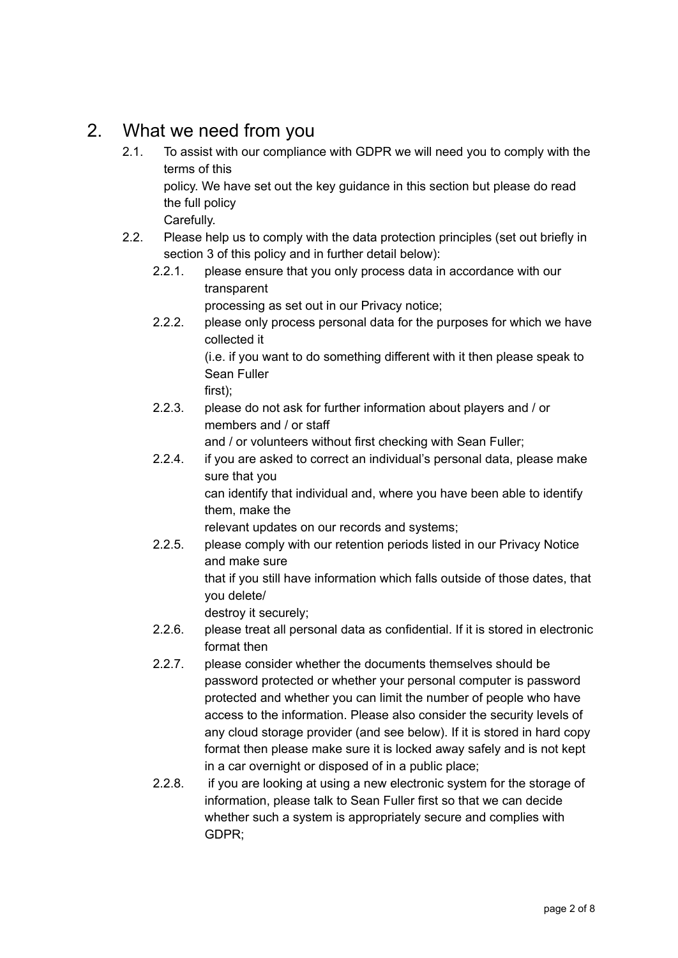## 2. What we need from you

- 2.1. To assist with our compliance with GDPR we will need you to comply with the terms of this policy. We have set out the key guidance in this section but please do read the full policy Carefully.
- 2.2. Please help us to comply with the data protection principles (set out briefly in section 3 of this policy and in further detail below):
	- 2.2.1. please ensure that you only process data in accordance with our transparent

processing as set out in our Privacy notice;

2.2.2. please only process personal data for the purposes for which we have collected it

(i.e. if you want to do something different with it then please speak to Sean Fuller

first);

2.2.3. please do not ask for further information about players and / or members and / or staff

and / or volunteers without first checking with Sean Fuller;

2.2.4. if you are asked to correct an individual's personal data, please make sure that you

can identify that individual and, where you have been able to identify them, make the

relevant updates on our records and systems;

2.2.5. please comply with our retention periods listed in our Privacy Notice and make sure that if you still have information which falls outside of those dates, that you delete/

destroy it securely;

- 2.2.6. please treat all personal data as confidential. If it is stored in electronic format then
- 2.2.7. please consider whether the documents themselves should be password protected or whether your personal computer is password protected and whether you can limit the number of people who have access to the information. Please also consider the security levels of any cloud storage provider (and see below). If it is stored in hard copy format then please make sure it is locked away safely and is not kept in a car overnight or disposed of in a public place;
- 2.2.8. if you are looking at using a new electronic system for the storage of information, please talk to Sean Fuller first so that we can decide whether such a system is appropriately secure and complies with GDPR;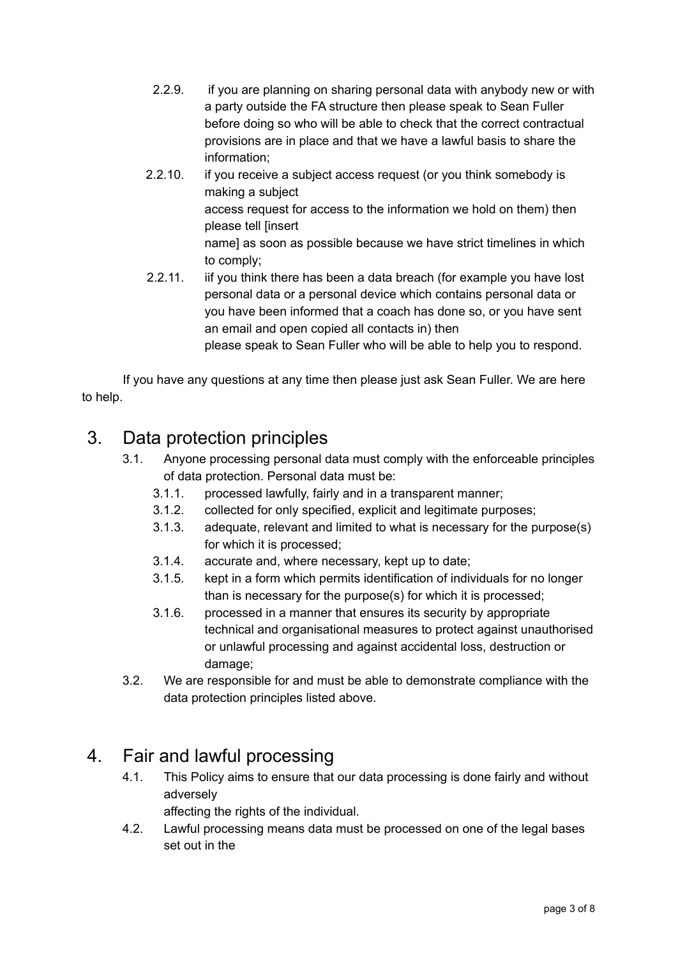- 2.2.9. if you are planning on sharing personal data with anybody new or with a party outside the FA structure then please speak to Sean Fuller before doing so who will be able to check that the correct contractual provisions are in place and that we have a lawful basis to share the information;
- 2.2.10. if you receive a subject access request (or you think somebody is making a subject access request for access to the information we hold on them) then please tell [insert name] as soon as possible because we have strict timelines in which to comply;
- 2.2.11. iif you think there has been a data breach (for example you have lost personal data or a personal device which contains personal data or you have been informed that a coach has done so, or you have sent an email and open copied all contacts in) then

please speak to Sean Fuller who will be able to help you to respond.

If you have any questions at any time then please just ask Sean Fuller. We are here to help.

## 3. Data protection principles

- 3.1. Anyone processing personal data must comply with the enforceable principles of data protection. Personal data must be:
	- 3.1.1. processed lawfully, fairly and in a transparent manner;
	- 3.1.2. collected for only specified, explicit and legitimate purposes;
	- 3.1.3. adequate, relevant and limited to what is necessary for the purpose(s) for which it is processed;
	- 3.1.4. accurate and, where necessary, kept up to date;
	- 3.1.5. kept in a form which permits identification of individuals for no longer than is necessary for the purpose(s) for which it is processed;
	- 3.1.6. processed in a manner that ensures its security by appropriate technical and organisational measures to protect against unauthorised or unlawful processing and against accidental loss, destruction or damage;
- 3.2. We are responsible for and must be able to demonstrate compliance with the data protection principles listed above.

#### 4. Fair and lawful processing

4.1. This Policy aims to ensure that our data processing is done fairly and without adversely

affecting the rights of the individual.

4.2. Lawful processing means data must be processed on one of the legal bases set out in the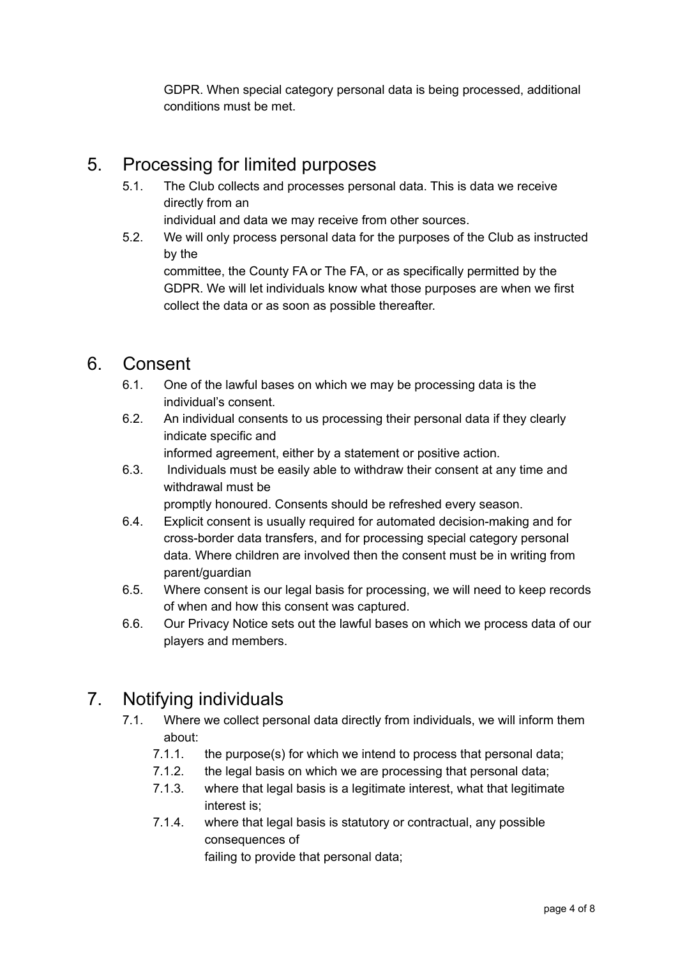GDPR. When special category personal data is being processed, additional conditions must be met.

#### 5. Processing for limited purposes

5.1. The Club collects and processes personal data. This is data we receive directly from an

individual and data we may receive from other sources.

5.2. We will only process personal data for the purposes of the Club as instructed by the

committee, the County FA or The FA, or as specifically permitted by the GDPR. We will let individuals know what those purposes are when we first collect the data or as soon as possible thereafter.

#### 6. Consent

- 6.1. One of the lawful bases on which we may be processing data is the individual's consent.
- 6.2. An individual consents to us processing their personal data if they clearly indicate specific and

informed agreement, either by a statement or positive action.

6.3. Individuals must be easily able to withdraw their consent at any time and withdrawal must be

promptly honoured. Consents should be refreshed every season.

- 6.4. Explicit consent is usually required for automated decision-making and for cross-border data transfers, and for processing special category personal data. Where children are involved then the consent must be in writing from parent/guardian
- 6.5. Where consent is our legal basis for processing, we will need to keep records of when and how this consent was captured.
- 6.6. Our Privacy Notice sets out the lawful bases on which we process data of our players and members.

# 7. Notifying individuals

- 7.1. Where we collect personal data directly from individuals, we will inform them about:
	- 7.1.1. the purpose(s) for which we intend to process that personal data;
	- 7.1.2. the legal basis on which we are processing that personal data;
	- 7.1.3. where that legal basis is a legitimate interest, what that legitimate interest is;
	- 7.1.4. where that legal basis is statutory or contractual, any possible consequences of

failing to provide that personal data;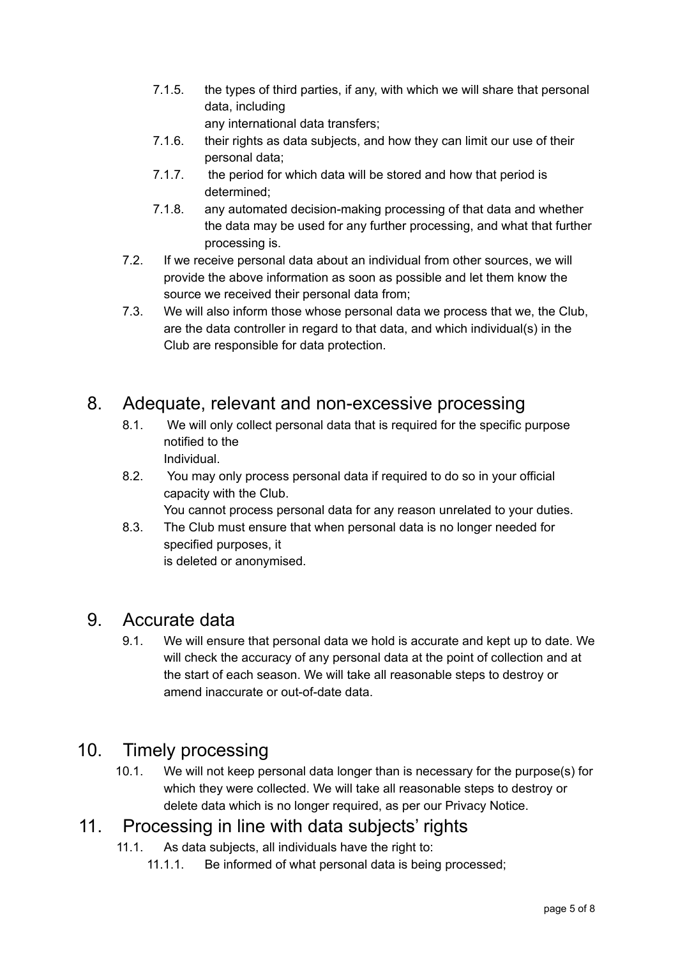- 7.1.5. the types of third parties, if any, with which we will share that personal data, including any international data transfers;
- 7.1.6. their rights as data subjects, and how they can limit our use of their personal data;
- 7.1.7. the period for which data will be stored and how that period is determined;
- 7.1.8. any automated decision-making processing of that data and whether the data may be used for any further processing, and what that further processing is.
- 7.2. If we receive personal data about an individual from other sources, we will provide the above information as soon as possible and let them know the source we received their personal data from;
- 7.3. We will also inform those whose personal data we process that we, the Club, are the data controller in regard to that data, and which individual(s) in the Club are responsible for data protection.

## 8. Adequate, relevant and non-excessive processing

- 8.1. We will only collect personal data that is required for the specific purpose notified to the Individual.
- 8.2. You may only process personal data if required to do so in your official capacity with the Club.

You cannot process personal data for any reason unrelated to your duties.

8.3. The Club must ensure that when personal data is no longer needed for specified purposes, it is deleted or anonymised.

#### 9. Accurate data

9.1. We will ensure that personal data we hold is accurate and kept up to date. We will check the accuracy of any personal data at the point of collection and at the start of each season. We will take all reasonable steps to destroy or amend inaccurate or out-of-date data.

#### 10. Timely processing

10.1. We will not keep personal data longer than is necessary for the purpose(s) for which they were collected. We will take all reasonable steps to destroy or delete data which is no longer required, as per our Privacy Notice.

#### 11. Processing in line with data subjects' rights

- 11.1. As data subjects, all individuals have the right to:
	- 11.1.1. Be informed of what personal data is being processed;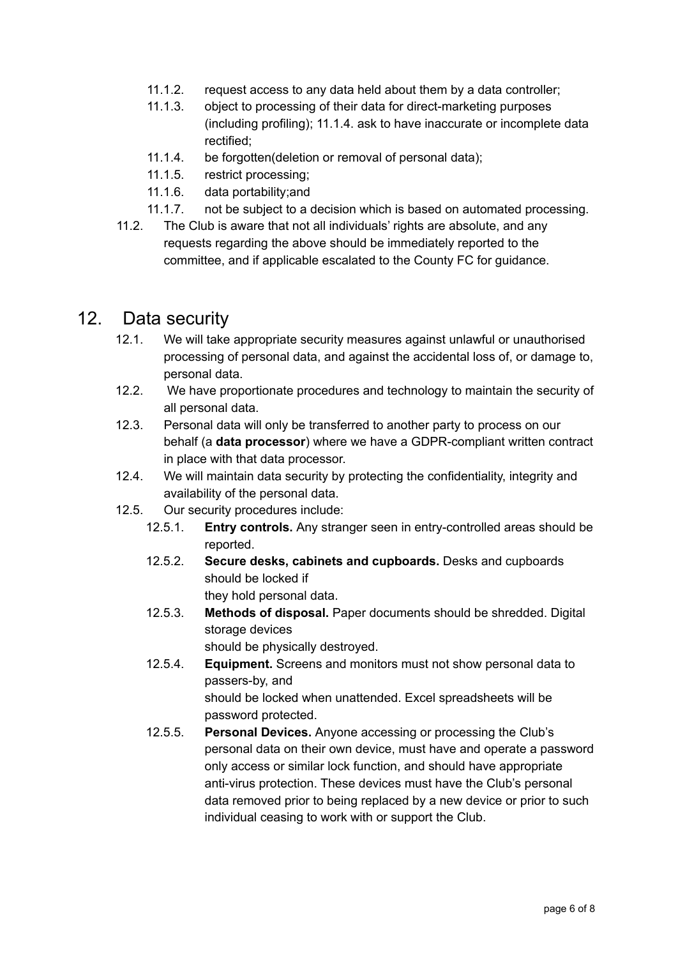- 11.1.2. request access to any data held about them by a data controller;
- 11.1.3. object to processing of their data for direct-marketing purposes (including profiling); 11.1.4. ask to have inaccurate or incomplete data rectified;
- 11.1.4. be forgotten(deletion or removal of personal data);
- 11.1.5. restrict processing;
- 11.1.6. data portability;and
- 11.1.7. not be subject to a decision which is based on automated processing.
- 11.2. The Club is aware that not all individuals' rights are absolute, and any requests regarding the above should be immediately reported to the committee, and if applicable escalated to the County FC for guidance.

#### 12. Data security

- 12.1. We will take appropriate security measures against unlawful or unauthorised processing of personal data, and against the accidental loss of, or damage to, personal data.
- 12.2. We have proportionate procedures and technology to maintain the security of all personal data.
- 12.3. Personal data will only be transferred to another party to process on our behalf (a **data processor**) where we have a GDPR-compliant written contract in place with that data processor.
- 12.4. We will maintain data security by protecting the confidentiality, integrity and availability of the personal data.
- 12.5. Our security procedures include:
	- 12.5.1. **Entry controls.** Any stranger seen in entry-controlled areas should be reported.
	- 12.5.2. **Secure desks, cabinets and cupboards.** Desks and cupboards should be locked if they hold personal data.
	- 12.5.3. **Methods of disposal.** Paper documents should be shredded. Digital storage devices

should be physically destroyed.

- 12.5.4. **Equipment.** Screens and monitors must not show personal data to passers-by, and should be locked when unattended. Excel spreadsheets will be password protected.
- 12.5.5. **Personal Devices.** Anyone accessing or processing the Club's personal data on their own device, must have and operate a password only access or similar lock function, and should have appropriate anti-virus protection. These devices must have the Club's personal data removed prior to being replaced by a new device or prior to such individual ceasing to work with or support the Club.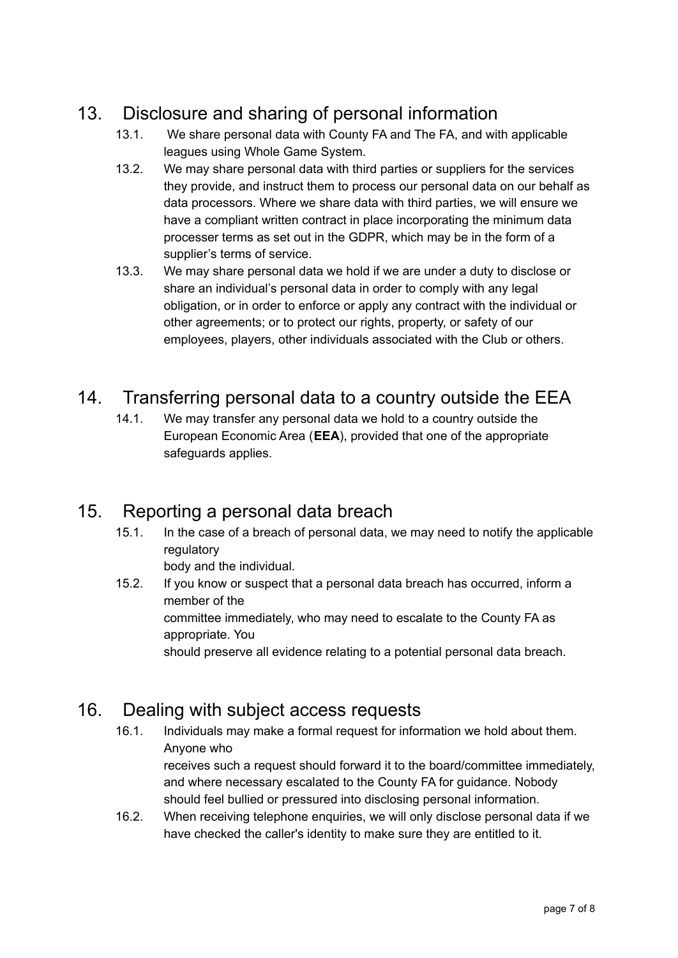# 13. Disclosure and sharing of personal information

- 13.1. We share personal data with County FA and The FA, and with applicable leagues using Whole Game System.
- 13.2. We may share personal data with third parties or suppliers for the services they provide, and instruct them to process our personal data on our behalf as data processors. Where we share data with third parties, we will ensure we have a compliant written contract in place incorporating the minimum data processer terms as set out in the GDPR, which may be in the form of a supplier's terms of service.
- 13.3. We may share personal data we hold if we are under a duty to disclose or share an individual's personal data in order to comply with any legal obligation, or in order to enforce or apply any contract with the individual or other agreements; or to protect our rights, property, or safety of our employees, players, other individuals associated with the Club or others.

# 14. Transferring personal data to a country outside the EEA

14.1. We may transfer any personal data we hold to a country outside the European Economic Area (**EEA**), provided that one of the appropriate safeguards applies.

# 15. Reporting a personal data breach

15.1. In the case of a breach of personal data, we may need to notify the applicable regulatory

body and the individual.

15.2. If you know or suspect that a personal data breach has occurred, inform a member of the committee immediately, who may need to escalate to the County FA as appropriate. You should preserve all evidence relating to a potential personal data breach.

# 16. Dealing with subject access requests

- 16.1. Individuals may make a formal request for information we hold about them. Anyone who receives such a request should forward it to the board/committee immediately, and where necessary escalated to the County FA for guidance. Nobody should feel bullied or pressured into disclosing personal information.
- 16.2. When receiving telephone enquiries, we will only disclose personal data if we have checked the caller's identity to make sure they are entitled to it.